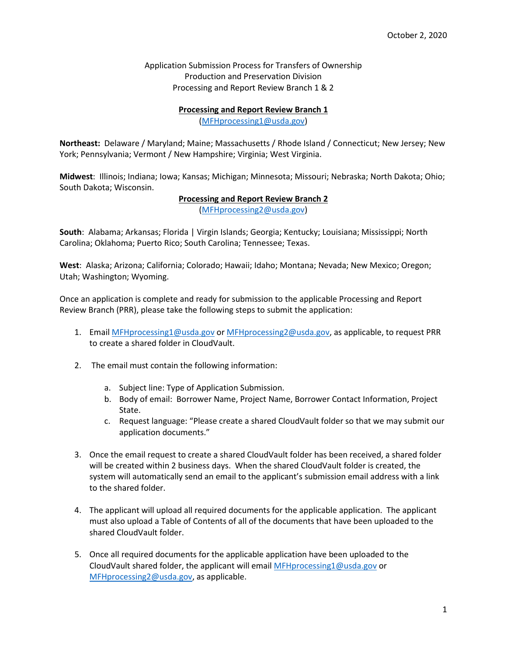Application Submission Process for Transfers of Ownership Production and Preservation Division Processing and Report Review Branch 1 & 2

## **Processing and Report Review Branch 1**

[\(MFHprocessing1@usda.gov\)](mailto:MFHprocessing1@usda.gov)

**Northeast:** Delaware / Maryland; Maine; Massachusetts / Rhode Island / Connecticut; New Jersey; New York; Pennsylvania; Vermont / New Hampshire; Virginia; West Virginia.

**Midwest**: Illinois; Indiana; Iowa; Kansas; Michigan; Minnesota; Missouri; Nebraska; North Dakota; Ohio; South Dakota; Wisconsin.

**Processing and Report Review Branch 2**

[\(MFHprocessing2@usda.gov\)](mailto:MFHprocessing2@usda.gov)

**South**: Alabama; Arkansas; Florida | Virgin Islands; Georgia; Kentucky; Louisiana; Mississippi; North Carolina; Oklahoma; Puerto Rico; South Carolina; Tennessee; Texas.

**West**: Alaska; Arizona; California; Colorado; Hawaii; Idaho; Montana; Nevada; New Mexico; Oregon; Utah; Washington; Wyoming.

Once an application is complete and ready for submission to the applicable Processing and Report Review Branch (PRR), please take the following steps to submit the application:

- 1. Email [MFHprocessing1@usda.gov](mailto:MFHprocessing1@usda.gov) or [MFHprocessing2@usda.gov,](mailto:MFHprocessing2@usda.gov) as applicable, to request PRR to create a shared folder in CloudVault.
- 2. The email must contain the following information:
	- a. Subject line: Type of Application Submission.
	- b. Body of email: Borrower Name, Project Name, Borrower Contact Information, Project State.
	- c. Request language: "Please create a shared CloudVault folder so that we may submit our application documents."
- 3. Once the email request to create a shared CloudVault folder has been received, a shared folder will be created within 2 business days. When the shared CloudVault folder is created, the system will automatically send an email to the applicant's submission email address with a link to the shared folder.
- 4. The applicant will upload all required documents for the applicable application. The applicant must also upload a Table of Contents of all of the documents that have been uploaded to the shared CloudVault folder.
- 5. Once all required documents for the applicable application have been uploaded to the CloudVault shared folder, the applicant will email MFH processing  $1@$ usda.gov or [MFHprocessing2@usda.gov,](mailto:MFHprocessing2@usda.gov) as applicable.